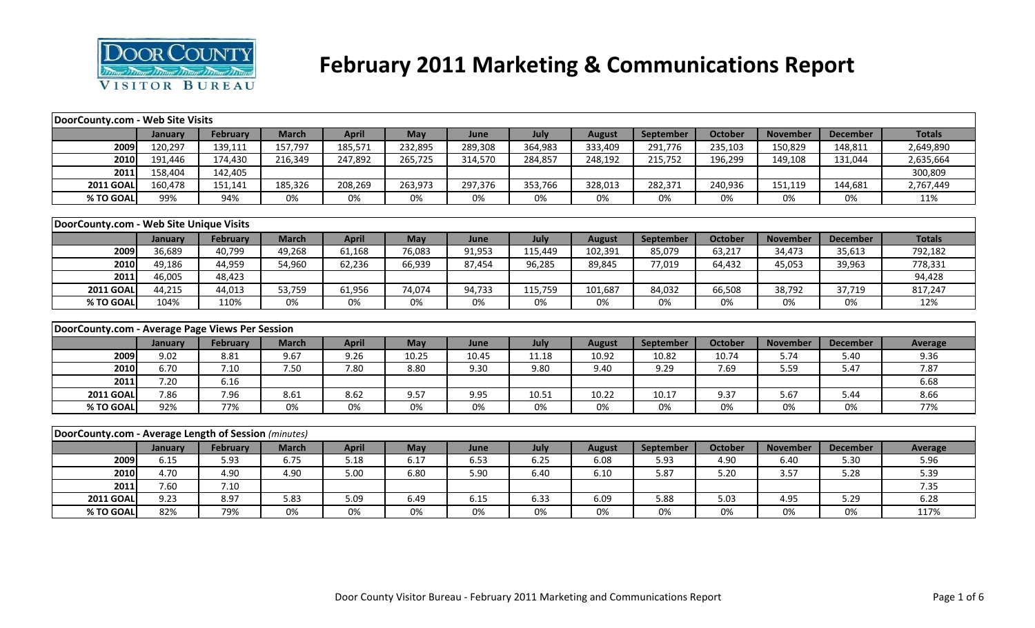

# **February 2011 Marketing & Communications Report**

| DoorCounty.com - Web Site Visits                     |             |                 |              |              |            |            |            |               |            |                |                 |                 |                |
|------------------------------------------------------|-------------|-----------------|--------------|--------------|------------|------------|------------|---------------|------------|----------------|-----------------|-----------------|----------------|
|                                                      | January     | February        | <b>March</b> | <b>April</b> | <b>May</b> | June       | July       | <b>August</b> | September  | <b>October</b> | <b>November</b> | <b>December</b> | <b>Totals</b>  |
| 2009                                                 | 120,297     | 139,111         | 157,797      | 185,571      | 232,895    | 289,308    | 364,983    | 333,409       | 291,776    | 235,103        | 150,829         | 148,811         | 2,649,890      |
| 2010                                                 | 191,446     | 174,430         | 216,349      | 247,892      | 265,725    | 314,570    | 284,857    | 248,192       | 215,752    | 196,299        | 149,108         | 131,044         | 2,635,664      |
| 2011                                                 | 158,404     | 142,405         |              |              |            |            |            |               |            |                |                 |                 | 300,809        |
| <b>2011 GOAL</b>                                     | 160,478     | 151,141         | 185,326      | 208,269      | 263,973    | 297,376    | 353,766    | 328,013       | 282,371    | 240,936        | 151,119         | 144,681         | 2,767,449      |
| % TO GOAL                                            | 99%         | 94%             | 0%           | 0%           | 0%         | 0%         | $0\%$      | 0%            | 0%         | 0%             | 0%              | 0%              | 11%            |
|                                                      |             |                 |              |              |            |            |            |               |            |                |                 |                 |                |
| DoorCounty.com - Web Site Unique Visits              |             |                 |              |              |            |            |            |               |            |                |                 |                 |                |
|                                                      | January     | <b>February</b> | <b>March</b> | <b>April</b> | May        | June       | July       | <b>August</b> | September  | <b>October</b> | <b>November</b> | <b>December</b> | <b>Totals</b>  |
| 2009                                                 | 36,689      | 40,799          | 49,268       | 61,168       | 76,083     | 91,953     | 115,449    | 102,391       | 85,079     | 63,217         | 34,473          | 35,613          | 792,182        |
| 2010                                                 | 49,186      | 44,959          | 54,960       | 62,236       | 66,939     | 87,454     | 96,285     | 89,845        | 77,019     | 64,432         | 45,053          | 39,963          | 778,331        |
| 2011                                                 | 46,005      | 48,423          |              |              |            |            |            |               |            |                |                 |                 | 94,428         |
| <b>2011 GOAL</b>                                     | 44,215      | 44,013          | 53,759       | 61,956       | 74,074     | 94,733     | 115,759    | 101,687       | 84,032     | 66,508         | 38,792          | 37,719          | 817,247        |
| % TO GOAL                                            | 104%        | 110%            | 0%           | 0%           | 0%         | 0%         | 0%         | 0%            | 0%         | 0%             | 0%              | 0%              | 12%            |
|                                                      |             |                 |              |              |            |            |            |               |            |                |                 |                 |                |
| DoorCounty.com - Average Page Views Per Session      |             |                 |              |              |            |            |            |               |            |                |                 |                 |                |
|                                                      | January     | <b>February</b> | <b>March</b> | <b>April</b> | May        | June       | July       | <b>August</b> | September  | <b>October</b> | <b>November</b> | <b>December</b> | <b>Average</b> |
| 2009                                                 | 9.02        | 8.81            | 9.67         | 9.26         | 10.25      | 10.45      | 11.18      | 10.92         | 10.82      | 10.74          | 5.74            | 5.40            | 9.36           |
| 2010                                                 | 6.70        | 7.10            | 7.50         | 7.80         | 8.80       | 9.30       | 9.80       | 9.40          | 9.29       | 7.69           | 5.59            | 5.47            | 7.87           |
| 2011                                                 | 7.20        | 6.16            |              |              |            |            |            |               |            |                |                 |                 | 6.68           |
| <b>2011 GOAL</b>                                     | 7.86        | 7.96            | 8.61         | 8.62         | 9.57       | 9.95       | 10.51      | 10.22         | 10.17      | 9.37           | 5.67            | 5.44            | 8.66           |
| % TO GOAL                                            | 92%         | 77%             | 0%           | 0%           | 0%         | 0%         | $0\%$      | 0%            | 0%         | 0%             | 0%              | $0\%$           | 77%            |
|                                                      |             |                 |              |              |            |            |            |               |            |                |                 |                 |                |
| DoorCounty.com - Average Length of Session (minutes) |             |                 |              |              |            |            |            |               |            |                |                 |                 |                |
|                                                      | January     | <b>February</b> | <b>March</b> | <b>April</b> | May        | June       | July       | <b>August</b> | September  | <b>October</b> | <b>November</b> | <b>December</b> | Average        |
| 2009                                                 | 6.15        | 5.93            | 6.75         | 5.18         | 6.17       | 6.53       | 6.25       | 6.08          | 5.93       | 4.90           | 6.40            | 5.30            | 5.96           |
| 2010                                                 | 4.70        | 4.90            | 4.90         | 5.00         | 6.80       | 5.90       | 6.40       | 6.10          | 5.87       | 5.20           | 3.57            | 5.28            | 5.39           |
| 2011                                                 | 7.60        | 7.10            |              |              |            |            |            |               |            |                |                 |                 | 7.35           |
|                                                      |             |                 |              |              |            |            |            |               |            |                |                 |                 |                |
| <b>2011 GOAL</b>                                     | 9.23<br>82% | 8.97<br>79%     | 5.83<br>0%   | 5.09<br>0%   | 6.49<br>0% | 6.15<br>0% | 6.33<br>0% | 6.09<br>0%    | 5.88<br>0% | 5.03<br>0%     | 4.95<br>0%      | 5.29<br>0%      | 6.28<br>117%   |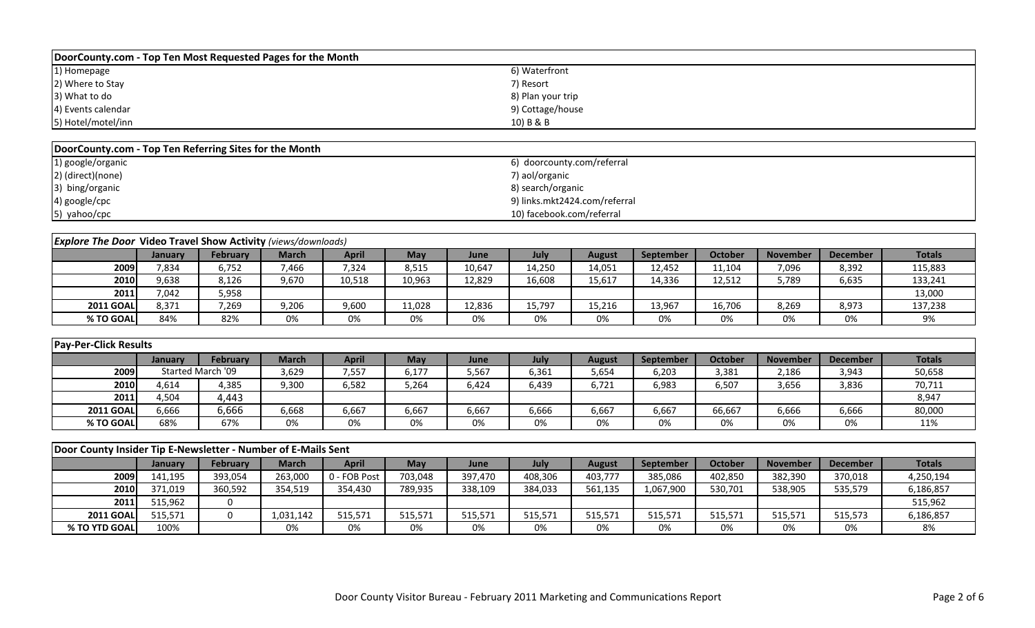| DoorCounty.com - Top Ten Most Requested Pages for the Month |                   |
|-------------------------------------------------------------|-------------------|
| 1) Homepage                                                 | 6) Waterfront     |
| 2) Where to Stay                                            | 7) Resort         |
| 3) What to do                                               | 8) Plan your trip |
| 4) Events calendar                                          | 9) Cottage/house  |
| 5) Hotel/motel/inn                                          | 10) B & B         |

| DoorCounty.com - Top Ten Referring Sites for the Month |                               |  |  |  |  |  |  |  |  |  |
|--------------------------------------------------------|-------------------------------|--|--|--|--|--|--|--|--|--|
| 1) google/organic                                      | 6) doorcounty.com/referral    |  |  |  |  |  |  |  |  |  |
| 2) (direct)(none)                                      | 7) aol/organic                |  |  |  |  |  |  |  |  |  |
| 3) bing/organic                                        | 8) search/organic             |  |  |  |  |  |  |  |  |  |
| 4) google/cpc                                          | 9) links.mkt2424.com/referral |  |  |  |  |  |  |  |  |  |
| 5) yahoo/cpc                                           | 10) facebook.com/referral     |  |  |  |  |  |  |  |  |  |

| <b>Explore The Door Video Travel Show Activity</b> (views/downloads) |         |                 |              |        |        |        |        |        |                  |         |                 |                 |               |
|----------------------------------------------------------------------|---------|-----------------|--------------|--------|--------|--------|--------|--------|------------------|---------|-----------------|-----------------|---------------|
|                                                                      | Januarv | <b>February</b> | <b>March</b> | April  | May    | June   | July   | August | <b>September</b> | October | <b>November</b> | <b>December</b> | <b>Totals</b> |
| 2009                                                                 | 7,834   | 6,752           | 7,466        | 7,324  | 8,515  | 10,647 | 14,250 | 14,051 | 12,452           | 11,104  | 7,096           | 8,392           | 115,883       |
| 2010                                                                 | 9,638   | 8,126           | 9,670        | 10,518 | 10,963 | 12,829 | 16,608 | 15,617 | 14,336           | 12,512  | 5,789           | 6,635           | 133,241       |
| 2011                                                                 | 7,042   | 5,958           |              |        |        |        |        |        |                  |         |                 |                 | 13,000        |
| <b>2011 GOAL</b>                                                     | 8,371   | 7,269           | 9,206        | 9,600  | 11,028 | 12,836 | 15,797 | 15,216 | 13,967           | 16,706  | 8,269           | 8,973           | 137,238       |
| % TO GOAL                                                            | 84%     | 82%             | 0%           | 0%     | 0%     | 0%     | 0%     | 0%     | 0%               | 0%      | 0%              | 0%              | 9%            |

|                  | <b>Pay-Per-Click Results</b> |                   |       |       |       |       |       |               |           |                |                 |                 |               |  |
|------------------|------------------------------|-------------------|-------|-------|-------|-------|-------|---------------|-----------|----------------|-----------------|-----------------|---------------|--|
|                  | <b>January</b>               | February          | March | April | May   | June  | July  | <b>August</b> | September | <b>October</b> | <b>November</b> | <b>December</b> | <b>Totals</b> |  |
| 2009             |                              | Started March '09 | 3,629 | 7,557 | 6,177 | 5,567 | 6,361 | 5,654         | 6,203     | 3,381          | 2,186           | 3,943           | 50,658        |  |
| 2010             | 4,614                        | 4,385             | 9,300 | 6,582 | 5,264 | 6,424 | 6,439 | 6,721         | 6,983     | 6,507          | 3,656           | 3,836           | 70,711        |  |
| 2011             | 4,504                        | 4,443             |       |       |       |       |       |               |           |                |                 |                 | 8,947         |  |
| <b>2011 GOAL</b> | 6,666                        | 6,666             | 6,668 | 6,667 | 6,667 | 6,667 | 6,666 | 6,667         | 6,667     | 66,667         | 6,666           | 6,666           | 80,000        |  |
| % TO GOAL        | 68%                          | 67%               | 0%    | 0%    | 0%    | 0%    | 0%    | 0%            | 0%        | 0%             | 0%              | 0%              | 11%           |  |

|                  | Door County Insider Tip E-Newsletter - Number of E-Mails Sent |                 |           |              |         |         |         |               |                  |                |                 |                 |               |  |
|------------------|---------------------------------------------------------------|-----------------|-----------|--------------|---------|---------|---------|---------------|------------------|----------------|-----------------|-----------------|---------------|--|
|                  | Januarv                                                       | <b>February</b> | March     | April        | Mav     | June    | July    | <b>August</b> | <b>September</b> | <b>October</b> | <b>November</b> | <b>December</b> | <b>Totals</b> |  |
| 2009             | 141,195                                                       | 393,054         | 263,000   | 0 - FOB Post | 703,048 | 397,470 | 408,306 | 403,777       | 385,086          | 402,850        | 382,390         | 370,018         | 4,250,194     |  |
| <b>2010</b>      | 371,019                                                       | 360,592         | 354,519   | 354,430      | 789,935 | 338,109 | 384,033 | 561,135       | 1,067,900        | 530,701        | 538,905         | 535,579         | 6,186,857     |  |
| 2011             | 515,962                                                       |                 |           |              |         |         |         |               |                  |                |                 |                 | 515,962       |  |
| <b>2011 GOAL</b> | 515.571                                                       |                 | 1,031,142 | 515,571      | 515,571 | 515,571 | 515,571 | 515,571       | 515,571          | 515,571        | 515,571         | 515,573         | 6,186,857     |  |
| % TO YTD GOAL    | 100%                                                          |                 | 0%        | 0%           | 0%      | 0%      | 0%      | 0%            | 0%               | 0%             | 0%              | 0%              | 8%            |  |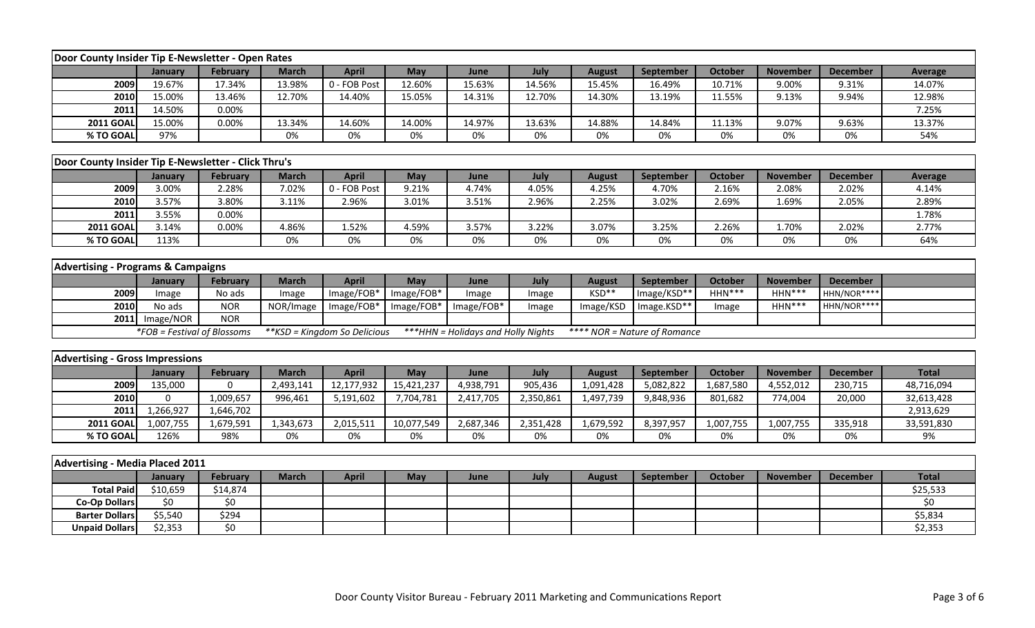| Door County Insider Tip E-Newsletter - Open Rates   |                             |                    |              |                               |            |                                     |           |               |                              |                |                 |                 |                |
|-----------------------------------------------------|-----------------------------|--------------------|--------------|-------------------------------|------------|-------------------------------------|-----------|---------------|------------------------------|----------------|-----------------|-----------------|----------------|
|                                                     | January                     | February           | <b>March</b> | <b>April</b>                  | May        | June                                | July      | <b>August</b> | September                    | October        | <b>November</b> | <b>December</b> | <b>Average</b> |
| 2009                                                | 19.67%                      | 17.34%             | 13.98%       | 0 - FOB Post                  | 12.60%     | 15.63%                              | 14.56%    | 15.45%        | 16.49%                       | 10.71%         | 9.00%           | 9.31%           | 14.07%         |
| 2010                                                | 15.00%                      | 13.46%             | 12.70%       | 14.40%                        | 15.05%     | 14.31%                              | 12.70%    | 14.30%        | 13.19%                       | 11.55%         | 9.13%           | 9.94%           | 12.98%         |
| 2011                                                | 14.50%                      | 0.00%              |              |                               |            |                                     |           |               |                              |                |                 |                 | 7.25%          |
| <b>2011 GOAL</b>                                    | 15.00%                      | 0.00%              | 13.34%       | 14.60%                        | 14.00%     | 14.97%                              | 13.63%    | 14.88%        | 14.84%                       | 11.13%         | 9.07%           | 9.63%           | 13.37%         |
| % TO GOAL                                           | 97%                         |                    | 0%           | 0%                            | 0%         | 0%                                  | 0%        | $0\%$         | 0%                           | 0%             | 0%              | 0%              | 54%            |
|                                                     |                             |                    |              |                               |            |                                     |           |               |                              |                |                 |                 |                |
| Door County Insider Tip E-Newsletter - Click Thru's |                             |                    |              |                               |            |                                     |           |               |                              |                |                 |                 |                |
|                                                     | January                     | <b>February</b>    | <b>March</b> | <b>April</b>                  | May        | June                                | July      | <b>August</b> | September                    | <b>October</b> | <b>November</b> | <b>December</b> | <b>Average</b> |
| 2009                                                | 3.00%                       | 2.28%              | 7.02%        | 0 - FOB Post                  | 9.21%      | 4.74%                               | 4.05%     | 4.25%         | 4.70%                        | 2.16%          | 2.08%           | 2.02%           | 4.14%          |
| 2010                                                | 3.57%                       | 3.80%              | 3.11%        | 2.96%                         | 3.01%      | 3.51%                               | 2.96%     | 2.25%         | 3.02%                        | 2.69%          | 1.69%           | 2.05%           | 2.89%          |
| 2011                                                | 3.55%                       | 0.00%              |              |                               |            |                                     |           |               |                              |                |                 |                 | 1.78%          |
| <b>2011 GOAL</b>                                    | 3.14%                       | 0.00%              | 4.86%        | 1.52%                         | 4.59%      | 3.57%                               | 3.22%     | 3.07%         | 3.25%                        | 2.26%          | 1.70%           | 2.02%           | 2.77%          |
| % TO GOAL                                           | 113%                        |                    | 0%           | 0%                            | 0%         | 0%                                  | 0%        | 0%            | 0%                           | 0%             | 0%              | 0%              | 64%            |
|                                                     |                             |                    |              |                               |            |                                     |           |               |                              |                |                 |                 |                |
| <b>Advertising - Programs &amp; Campaigns</b>       |                             |                    |              |                               |            |                                     |           |               |                              |                |                 |                 |                |
|                                                     | January                     | <b>February</b>    | <b>March</b> | <b>April</b>                  | May        | June                                | July      | <b>August</b> | September                    | <b>October</b> | <b>November</b> | <b>December</b> |                |
| 2009                                                | Image                       | No ads             | Image        | Image/FOB*                    | Image/FOB* | Image                               | Image     | KSD**         | Image/KSD**                  | HHN***         | $HHN***$        | HHN/NOR****     |                |
| 2010                                                | No ads                      | <b>NOR</b>         | NOR/Image    | Image/FOB*                    | Image/FOB* | Image/FOB*                          | Image     | Image/KSD     | Image.KSD**                  | Image          | HHN***          | HHN/NOR****     |                |
| 2011                                                | Image/NOR                   | <b>NOR</b>         |              |                               |            |                                     |           |               |                              |                |                 |                 |                |
|                                                     | *FOB = Festival of Blossoms |                    |              | ** KSD = Kingdom So Delicious |            | *** HHN = Holidays and Holly Nights |           |               | **** NOR = Nature of Romance |                |                 |                 |                |
|                                                     |                             |                    |              |                               |            |                                     |           |               |                              |                |                 |                 |                |
| <b>Advertising - Gross Impressions</b>              |                             |                    |              |                               |            |                                     |           |               |                              |                |                 |                 |                |
|                                                     | January                     | February           | <b>March</b> | <b>April</b>                  | May        | June                                | July      | <b>August</b> | September                    | <b>October</b> | <b>November</b> | <b>December</b> | <b>Total</b>   |
| 2009                                                | 135,000                     | $\Omega$           | 2,493,141    | 12,177,932                    | 15,421,237 | 4,938,791                           | 905,436   | 1,091,428     | 5,082,822                    | 1,687,580      | 4,552,012       | 230,715         | 48,716,094     |
| 2010                                                | $\mathbf{0}$                | 1,009,657          | 996,461      | 5,191,602                     | 7,704,781  | 2,417,705                           | 2,350,861 | 1,497,739     | 9,848,936                    | 801,682        | 774,004         | 20,000          | 32,613,428     |
| 2011                                                | 1,266,927                   | 1,646,702          |              |                               |            |                                     |           |               |                              |                |                 |                 | 2,913,629      |
| <b>2011 GOAL</b>                                    | 1,007,755                   | 1,679,591          | 1,343,673    | 2,015,511                     | 10,077,549 | 2,687,346                           | 2,351,428 | 1,679,592     | 8,397,957                    | 1,007,755      | 1,007,755       | 335,918         | 33,591,830     |
| % TO GOAL                                           | 126%                        | 98%                | 0%           | 0%                            | 0%         | 0%                                  | 0%        | 0%            | 0%                           | 0%             | 0%              | 0%              | 9%             |
|                                                     |                             |                    |              |                               |            |                                     |           |               |                              |                |                 |                 |                |
| <b>Advertising - Media Placed 2011</b>              |                             |                    |              |                               |            |                                     |           |               |                              |                |                 |                 |                |
|                                                     | <b>January</b>              | February           | <b>March</b> | <b>April</b>                  | May        | June                                | July      | <b>August</b> | September                    | <b>October</b> | <b>November</b> | <b>December</b> | <b>Total</b>   |
| <b>Total Paid</b>                                   | \$10,659                    | \$14,874           |              |                               |            |                                     |           |               |                              |                |                 |                 | \$25,533       |
| <b>Co-Op Dollars</b>                                | \$0                         | \$0                |              |                               |            |                                     |           |               |                              |                |                 |                 | \$0            |
| <b>Barter Dollars</b>                               | \$5,540                     | \$294              |              |                               |            |                                     |           |               |                              |                |                 |                 | \$5,834        |
| <b>Unpaid Dollars</b>                               | \$2,353                     | $\overline{\xi_0}$ |              |                               |            |                                     |           |               |                              |                |                 |                 | \$2,353        |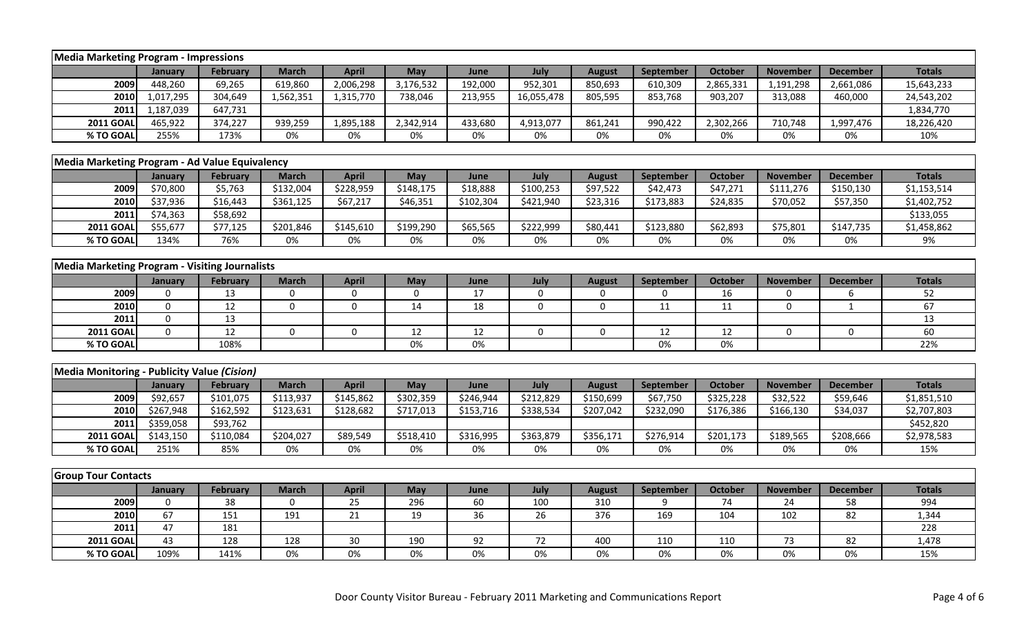| <b>Media Marketing Program - Impressions</b>          |              |                 |              |              |             |                 |             |               |                  |                |                 |                 |               |
|-------------------------------------------------------|--------------|-----------------|--------------|--------------|-------------|-----------------|-------------|---------------|------------------|----------------|-----------------|-----------------|---------------|
|                                                       | January      | February        | <b>March</b> | <b>April</b> | May         | June            | July        | <b>August</b> | September        | October        | <b>November</b> | <b>December</b> | <b>Totals</b> |
| 2009                                                  | 448,260      | 69,265          | 619,860      | 2,006,298    | 3,176,532   | 192,000         | 952,301     | 850,693       | 610,309          | 2,865,331      | 1,191,298       | 2,661,086       | 15,643,233    |
| 2010                                                  | 1,017,295    | 304,649         | 1,562,351    | 1,315,770    | 738,046     | 213,955         | 16,055,478  | 805,595       | 853,768          | 903,207        | 313,088         | 460,000         | 24,543,202    |
| 2011                                                  | 1,187,039    | 647,731         |              |              |             |                 |             |               |                  |                |                 |                 | 1,834,770     |
| <b>2011 GOAL</b>                                      | 465,922      | 374,227         | 939,259      | 1,895,188    | 2,342,914   | 433,680         | 4,913,077   | 861,241       | 990,422          | 2,302,266      | 710,748         | 1,997,476       | 18,226,420    |
| % TO GOAL                                             | 255%         | 173%            | 0%           | 0%           | 0%          | 0%              | 0%          | 0%            | 0%               | 0%             | 0%              | 0%              | 10%           |
|                                                       |              |                 |              |              |             |                 |             |               |                  |                |                 |                 |               |
| Media Marketing Program - Ad Value Equivalency        |              |                 |              |              |             |                 |             |               |                  |                |                 |                 |               |
|                                                       | January      | <b>February</b> | <b>March</b> | <b>April</b> | May         | June            | July        | <b>August</b> | September        | <b>October</b> | <b>November</b> | <b>December</b> | <b>Totals</b> |
| 2009                                                  | \$70,800     | \$5,763         | \$132,004    | \$228,959    | \$148,175   | \$18,888        | \$100,253   | \$97,522      | \$42,473         | \$47,271       | \$111,276       | \$150,130       | \$1,153,514   |
| 2010                                                  | \$37,936     | \$16,443        | \$361,125    | \$67,217     | \$46,351    | \$102,304       | \$421,940   | \$23,316      | \$173,883        | \$24,835       | \$70,052        | \$57,350        | \$1,402,752   |
| 2011                                                  | \$74,363     | \$58,692        |              |              |             |                 |             |               |                  |                |                 |                 | \$133,055     |
| <b>2011 GOAL</b>                                      | \$55,677     | \$77,125        | \$201,846    | \$145,610    | \$199,290   | \$65,565        | \$222,999   | \$80,441      | \$123,880        | \$62,893       | \$75,801        | \$147,735       | \$1,458,862   |
| % TO GOAL                                             | 134%         | 76%             | 0%           | 0%           | $0\%$       | 0%              | 0%          | 0%            | 0%               | 0%             | 0%              | 0%              | 9%            |
|                                                       |              |                 |              |              |             |                 |             |               |                  |                |                 |                 |               |
| <b>Media Marketing Program - Visiting Journalists</b> |              |                 |              |              |             |                 |             |               |                  |                |                 |                 |               |
|                                                       | January      | <b>February</b> | <b>March</b> | <b>April</b> | May         | June            | July        | <b>August</b> | September        | <b>October</b> | <b>November</b> | <b>December</b> | <b>Totals</b> |
| 2009                                                  | $\mathbf 0$  | 13              | $\mathbf 0$  | $\mathbf 0$  | $\mathbf 0$ | 17              | 0           | 0             | $\mathbf 0$      | 16             | $\mathbf 0$     | 6               | 52            |
| 2010                                                  | $\mathbf 0$  | $\overline{12}$ | $\mathbf 0$  | $\mathbf 0$  | 14          | 18              | $\mathbf 0$ | $\Omega$      | 11               | 11             | $\mathbf 0$     | $\mathbf{1}$    | 67            |
| 2011                                                  | $\mathbf 0$  | 13              |              |              |             |                 |             |               |                  |                |                 |                 | 13            |
| <b>2011 GOAL</b>                                      | $\mathbf{0}$ | $\overline{12}$ | 0            | $\mathbf 0$  | 12          | 12              | $\mathbf 0$ | $\mathbf 0$   | 12               | 12             | $\mathbf 0$     | $\mathbf 0$     | 60            |
| % TO GOAL                                             |              | 108%            |              |              | 0%          | $0\%$           |             |               | 0%               | $0\%$          |                 |                 | 22%           |
|                                                       |              |                 |              |              |             |                 |             |               |                  |                |                 |                 |               |
| Media Monitoring - Publicity Value (Cision)           |              |                 |              |              |             |                 |             |               |                  |                |                 |                 |               |
|                                                       | January      | <b>February</b> | <b>March</b> | <b>April</b> | May         | June            | July        | <b>August</b> | September        | <b>October</b> | <b>November</b> | <b>December</b> | <b>Totals</b> |
| 2009                                                  | \$92,657     | \$101,075       | \$113,937    | \$145,862    | \$302,359   | \$246,944       | \$212,829   | \$150,699     | \$67,750         | \$325,228      | \$32,522        | \$59,646        | \$1,851,510   |
| 2010                                                  | \$267,948    | \$162,592       | \$123,631    | \$128,682    | \$717,013   | \$153,716       | \$338,534   | \$207,042     | \$232,090        | \$176,386      | \$166,130       | \$34,037        | \$2,707,803   |
| 2011                                                  | \$359,058    | \$93,762        |              |              |             |                 |             |               |                  |                |                 |                 | \$452,820     |
| <b>2011 GOAL</b>                                      | \$143,150    | \$110,084       | \$204,027    | \$89,549     | \$518,410   | \$316,995       | \$363,879   | \$356,171     | \$276,914        | \$201,173      | \$189,565       | \$208,666       | \$2,978,583   |
| % TO GOAL                                             | 251%         | 85%             | 0%           | 0%           | 0%          | 0%              | 0%          | 0%            | 0%               | 0%             | 0%              | 0%              | 15%           |
|                                                       |              |                 |              |              |             |                 |             |               |                  |                |                 |                 |               |
| <b>Group Tour Contacts</b>                            |              |                 |              |              |             |                 |             |               |                  |                |                 |                 |               |
|                                                       | January      | <b>February</b> | <b>March</b> | <b>April</b> | May         | June            | July        | <b>August</b> | <b>September</b> | <b>October</b> | <b>November</b> | <b>December</b> | <b>Totals</b> |
| 2009                                                  | 0            | 38              | $\mathbf 0$  | 25           | 296         | 60              | 100         | 310           | 9                | 74             | 24              | 58              | 994           |
| 2010                                                  | 67           | 151             | 191          | 21           | 19          | $\overline{36}$ | 26          | 376           | 169              | 104            | 102             | 82              | 1,344         |
| 2011                                                  | 47           | 181             |              |              |             |                 |             |               |                  |                |                 |                 | 228           |
| <b>2011 GOAL</b>                                      | 43           | 128             | 128          | 30           | 190         | 92              | 72          | 400           | 110              | 110            | 73              | 82              | 1,478         |
| % TO GOAL                                             | 109%         | 141%            | 0%           | 0%           | 0%          | $0\%$           | 0%          | 0%            | 0%               | 0%             | 0%              | $0\%$           | 15%           |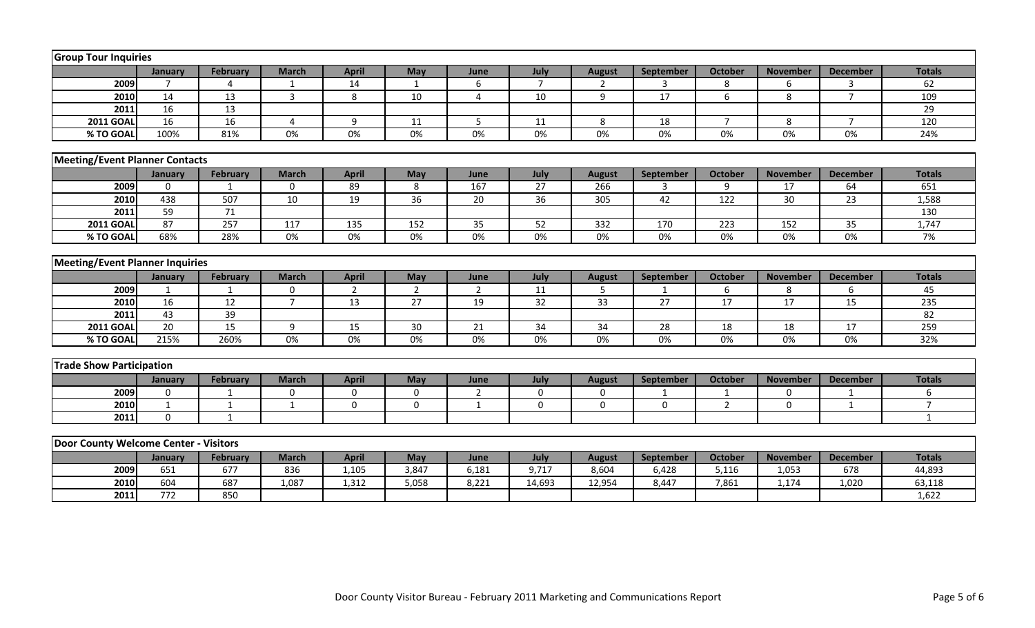| <b>Group Tour Inquiries</b>            |                 |                 |                |                 |                  |                 |                 |                  |                 |                |                  |                 |                 |
|----------------------------------------|-----------------|-----------------|----------------|-----------------|------------------|-----------------|-----------------|------------------|-----------------|----------------|------------------|-----------------|-----------------|
|                                        | January         | <b>February</b> | <b>March</b>   | <b>April</b>    | May              | June            | July            | <b>August</b>    | September       | <b>October</b> | <b>November</b>  | <b>December</b> | <b>Totals</b>   |
| 2009                                   | $\overline{7}$  | 4               | 1              | 14              | 1                | 6               | $\overline{7}$  | $\overline{2}$   | 3               | 8              | 6                | 3               | 62              |
| 2010                                   | 14              | 13              | $\overline{3}$ | 8               | 10               | $\overline{4}$  | 10              | 9                | 17              | 6              | 8                | $\overline{7}$  | 109             |
| 2011                                   | 16              | 13              |                |                 |                  |                 |                 |                  |                 |                |                  |                 | 29              |
| <b>2011 GOAL</b>                       | 16              | 16              | $\overline{4}$ | 9               | 11               | 5               | 11              | 8                | 18              | $\overline{7}$ | 8                | $\overline{7}$  | 120             |
| % TO GOAL                              | 100%            | 81%             | $0\%$          | 0%              | 0%               | 0%              | 0%              | 0%               | 0%              | 0%             | 0%               | 0%              | 24%             |
|                                        |                 |                 |                |                 |                  |                 |                 |                  |                 |                |                  |                 |                 |
| <b>Meeting/Event Planner Contacts</b>  |                 |                 |                |                 |                  |                 |                 |                  |                 |                |                  |                 |                 |
|                                        | January         | <b>February</b> | <b>March</b>   | <b>April</b>    | May              | June            | July            | <b>August</b>    | September       | <b>October</b> | <b>November</b>  | <b>December</b> | <b>Totals</b>   |
| 2009                                   | $\Omega$        | $\mathbf 1$     | $\mathbf{0}$   | 89              | 8                | $\frac{167}{ }$ | $\overline{27}$ | 266              | 3               | 9              | 17               | 64              | 651             |
| 2010                                   | 438             | 507             | 10             | 19              | 36               | 20              | 36              | 305              | 42              | 122            | 30               | 23              | 1,588           |
| 2011                                   | 59              | $\overline{71}$ |                |                 |                  |                 |                 |                  |                 |                |                  |                 | 130             |
| <b>2011 GOAL</b>                       | 87              | 257             | 117            | 135             | $\overline{152}$ | $\overline{35}$ | 52              | $\overline{332}$ | 170             | 223            | $\overline{152}$ | $\overline{35}$ | 1,747           |
| % TO GOAL                              | 68%             | 28%             | 0%             | 0%              | 0%               | 0%              | 0%              | 0%               | 0%              | 0%             | 0%               | 0%              | 7%              |
|                                        |                 |                 |                |                 |                  |                 |                 |                  |                 |                |                  |                 |                 |
| <b>Meeting/Event Planner Inquiries</b> |                 |                 |                |                 |                  |                 |                 |                  |                 |                |                  |                 |                 |
|                                        | January         | <b>February</b> | <b>March</b>   | <b>April</b>    | May              | June            | July            | <b>August</b>    | September       | October        | <b>November</b>  | <b>December</b> | <b>Totals</b>   |
| 2009                                   | $\mathbf{1}$    | $\mathbf{1}$    | $\mathbf 0$    | $\overline{2}$  | $\overline{2}$   | $\overline{2}$  | 11              | 5                | $\mathbf 1$     | 6              | 8                | 6               | 45              |
| 2010                                   | 16              | $\overline{12}$ | $\overline{7}$ | $\overline{13}$ | $\overline{27}$  | 19              | 32              | $\overline{33}$  | $\overline{27}$ | 17             | $\overline{17}$  | 15              | 235             |
| 2011                                   | 43              | 39              |                |                 |                  |                 |                 |                  |                 |                |                  |                 | $\overline{82}$ |
| <b>2011 GOAL</b>                       | $\overline{20}$ | 15              | 9              | 15              | 30               | 21              | 34              | 34               | 28              | 18             | 18               | 17              | 259             |
| % TO GOAL                              | 215%            | 260%            | $0\%$          | 0%              | $0\%$            | 0%              | 0%              | 0%               | 0%              | 0%             | 0%               | 0%              | 32%             |
|                                        |                 |                 |                |                 |                  |                 |                 |                  |                 |                |                  |                 |                 |
| <b>Trade Show Participation</b>        |                 |                 |                |                 |                  |                 |                 |                  |                 |                |                  |                 |                 |
|                                        | January         | <b>February</b> | <b>March</b>   | <b>April</b>    | May              | June            | July            | <b>August</b>    | September       | <b>October</b> | <b>November</b>  | <b>December</b> | <b>Totals</b>   |
| 2009                                   | $\mathbf 0$     | $\mathbf{1}$    | $\mathbf 0$    | $\Omega$        | $\mathbf{0}$     | $\overline{2}$  | $\mathbf 0$     | $\Omega$         | $\mathbf 1$     | $\mathbf{1}$   | $\mathbf{0}$     |                 | 6               |
| 2010                                   | $\mathbf{1}$    | $\mathbf{1}$    | $\mathbf{1}$   | $\mathbf 0$     | $\mathbf 0$      | $\mathbf{1}$    | $\Omega$        | $\Omega$         | $\Omega$        | $\overline{2}$ | $\Omega$         | $\mathbf{1}$    | $\overline{7}$  |
| 2011                                   | $\mathbf 0$     | $\mathbf{1}$    |                |                 |                  |                 |                 |                  |                 |                |                  |                 | $\mathbf{1}$    |
|                                        |                 |                 |                |                 |                  |                 |                 |                  |                 |                |                  |                 |                 |
| Door County Welcome Center - Visitors  |                 |                 |                |                 |                  |                 |                 |                  |                 |                |                  |                 |                 |
|                                        | January         | <b>February</b> | <b>March</b>   | <b>April</b>    | May              | June            | July            | <b>August</b>    | September       | <b>October</b> | <b>November</b>  | <b>December</b> | <b>Totals</b>   |
| 2009                                   | 651             | 677             | 836            | 1,105           | 3,847            | 6,181           | 9,717           | 8,604            | 6,428           | 5,116          | 1,053            | 678             | 44,893          |
| 2010                                   | 604             | 687             | 1,087          | 1,312           | 5,058            | 8,221           | 14,693          | 12,954           | 8,447           | 7,861          | 1,174            | 1,020           | 63,118          |
| 2011                                   | 772             | 850             |                |                 |                  |                 |                 |                  |                 |                |                  |                 | 1,622           |